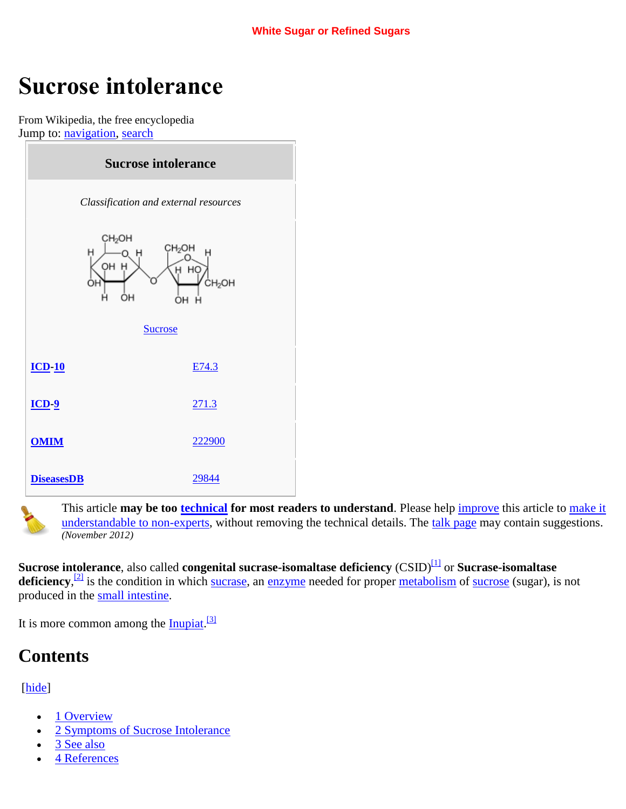# **Sucrose intolerance**

From Wikipedia, the free encyclopedia Jump to: [navigation,](http://en.wikipedia.org/wiki/Sucrose_intolerance#mw-navigation) [search](http://en.wikipedia.org/wiki/Sucrose_intolerance#p-search)



This article **may be too [technical](http://en.wiktionary.org/wiki/technical#Adjective) for most readers to understand**. Please help [improve](http://en.wikipedia.org/w/index.php?title=Sucrose_intolerance&action=edit) this article to [make it](http://en.wikipedia.org/wiki/Wikipedia:Make_technical_articles_understandable)  [understandable to non-experts,](http://en.wikipedia.org/wiki/Wikipedia:Make_technical_articles_understandable) without removing the technical details. The [talk page](http://en.wikipedia.org/wiki/Talk:Sucrose_intolerance) may contain suggestions. *(November 2012)*

**Sucrose intolerance**, also called **congenital sucrase-isomaltase deficiency** (CSID)<sup>[\[1\]](http://en.wikipedia.org/wiki/Sucrose_intolerance#cite_note-pmid16329100-1)</sup> or **Sucrase-isomaltase** deficiency,<sup>[\[2\]](http://en.wikipedia.org/wiki/Sucrose_intolerance#cite_note-pmid8708882-2)</sup> is the condition in which [sucrase,](http://en.wikipedia.org/wiki/Sucrase) an [enzyme](http://en.wikipedia.org/wiki/Enzyme) needed for proper [metabolism](http://en.wikipedia.org/wiki/Metabolism) of [sucrose](http://en.wikipedia.org/wiki/Sucrose) (sugar), is not produced in the [small intestine.](http://en.wikipedia.org/wiki/Small_intestine)

It is more common among the **Inupiat**.<sup>[\[3\]](http://en.wikipedia.org/wiki/Sucrose_intolerance#cite_note-pmid2021397-3)</sup>

# **Contents**

### [\[hide\]](http://en.wikipedia.org/wiki/Sucrose_intolerance)

- [1 Overview](http://en.wikipedia.org/wiki/Sucrose_intolerance#Overview)
- [2 Symptoms of Sucrose Intolerance](http://en.wikipedia.org/wiki/Sucrose_intolerance#Symptoms_of_Sucrose_Intolerance)
- [3 See also](http://en.wikipedia.org/wiki/Sucrose_intolerance#See_also)
- [4 References](http://en.wikipedia.org/wiki/Sucrose_intolerance#References)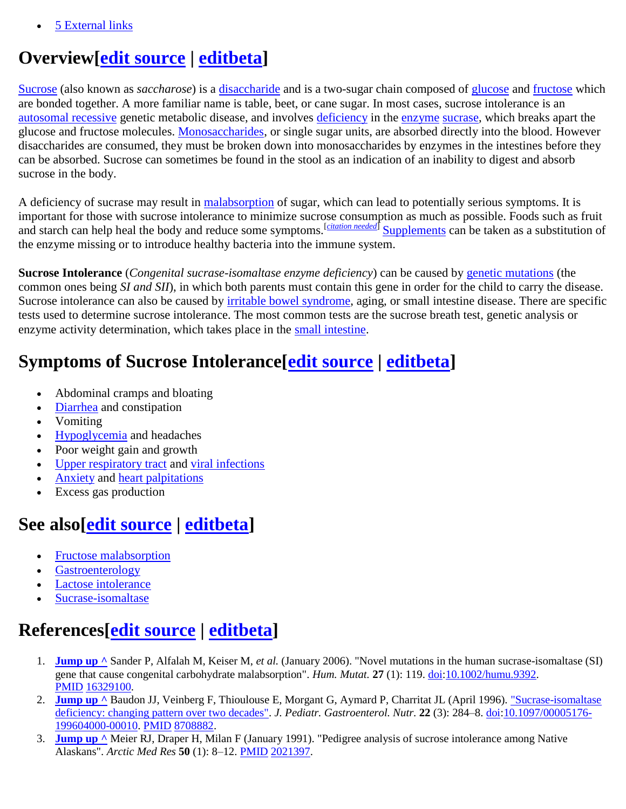[5 External links](http://en.wikipedia.org/wiki/Sucrose_intolerance#External_links)

## **Overview[\[edit source](http://en.wikipedia.org/w/index.php?title=Sucrose_intolerance&action=edit§ion=1) | [editbeta\]](http://en.wikipedia.org/w/index.php?title=Sucrose_intolerance&veaction=edit§ion=1)**

[Sucrose](http://en.wikipedia.org/wiki/Sucrose) (also known as *saccharose*) is a *disaccharide* and is a two-sugar chain composed of [glucose](http://en.wikipedia.org/wiki/Glucose) and [fructose](http://en.wikipedia.org/wiki/Fructose) which are bonded together. A more familiar name is table, beet, or cane sugar. In most cases, sucrose intolerance is an [autosomal recessive](http://en.wikipedia.org/wiki/Autosomal_recessive) genetic metabolic disease, and involves [deficiency](http://en.wikipedia.org/wiki/Deficiency_(medicine)) in the [enzyme](http://en.wikipedia.org/wiki/Enzyme) [sucrase,](http://en.wikipedia.org/wiki/Sucrase) which breaks apart the glucose and fructose molecules. [Monosaccharides,](http://en.wikipedia.org/wiki/Monosaccharides) or single sugar units, are absorbed directly into the blood. However disaccharides are consumed, they must be broken down into monosaccharides by enzymes in the intestines before they can be absorbed. Sucrose can sometimes be found in the stool as an indication of an inability to digest and absorb sucrose in the body.

A deficiency of sucrase may result in [malabsorption](http://en.wikipedia.org/wiki/Malabsorption) of sugar, which can lead to potentially serious symptoms. It is important for those with sucrose intolerance to minimize sucrose consumption as much as possible. Foods such as fruit and starch can help heal the body and reduce some symptoms.<sup>[[citation needed](http://en.wikipedia.org/wiki/Wikipedia:Citation_needed)]</sup> [Supplements](http://en.wikipedia.org/wiki/Supplements) can be taken as a substitution of the enzyme missing or to introduce healthy bacteria into the immune system.

**Sucrose Intolerance** (*Congenital sucrase-isomaltase enzyme deficiency*) can be caused by [genetic mutations](http://en.wikipedia.org/wiki/Genetic_mutations) (the common ones being *SI and SII*), in which both parents must contain this gene in order for the child to carry the disease. Sucrose intolerance can also be caused by [irritable bowel syndrome,](http://en.wikipedia.org/wiki/Irritable_bowel_syndrome) aging, or small intestine disease. There are specific tests used to determine sucrose intolerance. The most common tests are the sucrose breath test, genetic analysis or enzyme activity determination, which takes place in the [small intestine.](http://en.wikipedia.org/wiki/Small_intestine)

# **Symptoms of Sucrose Intolerance[\[edit source](http://en.wikipedia.org/w/index.php?title=Sucrose_intolerance&action=edit§ion=2) | [editbeta\]](http://en.wikipedia.org/w/index.php?title=Sucrose_intolerance&veaction=edit§ion=2)**

- Abdominal cramps and bloating
- [Diarrhea](http://en.wikipedia.org/wiki/Diarrhea) and constipation
- Vomiting
- [Hypoglycemia](http://en.wikipedia.org/wiki/Hypoglycemia) and headaches
- Poor weight gain and growth
- [Upper respiratory tract](http://en.wikipedia.org/wiki/Upper_respiratory_tract) and [viral infections](http://en.wikipedia.org/wiki/Viral_infections)
- [Anxiety](http://en.wikipedia.org/wiki/Anxiety) and [heart palpitations](http://en.wikipedia.org/wiki/Heart_palpitations)
- Excess gas production

# **See also[\[edit source](http://en.wikipedia.org/w/index.php?title=Sucrose_intolerance&action=edit§ion=3) | [editbeta\]](http://en.wikipedia.org/w/index.php?title=Sucrose_intolerance&veaction=edit§ion=3)**

- [Fructose malabsorption](http://en.wikipedia.org/wiki/Fructose_malabsorption)
- [Gastroenterology](http://en.wikipedia.org/wiki/Gastroenterology)
- [Lactose intolerance](http://en.wikipedia.org/wiki/Lactose_intolerance)
- [Sucrase-isomaltase](http://en.wikipedia.org/wiki/Sucrase-isomaltase)

# **References[\[edit source](http://en.wikipedia.org/w/index.php?title=Sucrose_intolerance&action=edit§ion=4) | [editbeta\]](http://en.wikipedia.org/w/index.php?title=Sucrose_intolerance&veaction=edit§ion=4)**

- 1. **[Jump up ^](http://en.wikipedia.org/wiki/Sucrose_intolerance#cite_ref-pmid16329100_1-0)** Sander P, Alfalah M, Keiser M, *et al.* (January 2006). "Novel mutations in the human sucrase-isomaltase (SI) gene that cause congenital carbohydrate malabsorption". *Hum. Mutat.* **27** (1): 119[. doi:](http://en.wikipedia.org/wiki/Digital_object_identifier)[10.1002/humu.9392.](http://dx.doi.org/10.1002%2Fhumu.9392) [PMID](http://en.wikipedia.org/wiki/PubMed_Identifier) [16329100.](http://www.ncbi.nlm.nih.gov/pubmed/16329100)
- 2. **[Jump up ^](http://en.wikipedia.org/wiki/Sucrose_intolerance#cite_ref-pmid8708882_2-0)** Baudon JJ, Veinberg F, Thioulouse E, Morgant G, Aymard P, Charritat JL (April 1996). ["Sucrase-isomaltase](http://meta.wkhealth.com/pt/pt-core/template-journal/lwwgateway/media/landingpage.htm?issn=0277-2116&volume=22&issue=3&spage=284)  [deficiency: changing pattern over two decades".](http://meta.wkhealth.com/pt/pt-core/template-journal/lwwgateway/media/landingpage.htm?issn=0277-2116&volume=22&issue=3&spage=284) *J. Pediatr. Gastroenterol. Nutr.* **22** (3): 284–8. [doi](http://en.wikipedia.org/wiki/Digital_object_identifier)[:10.1097/00005176-](http://dx.doi.org/10.1097%2F00005176-199604000-00010) [199604000-00010.](http://dx.doi.org/10.1097%2F00005176-199604000-00010) [PMID](http://en.wikipedia.org/wiki/PubMed_Identifier) [8708882.](http://www.ncbi.nlm.nih.gov/pubmed/8708882)
- 3. **[Jump up ^](http://en.wikipedia.org/wiki/Sucrose_intolerance#cite_ref-pmid2021397_3-0)** Meier RJ, Draper H, Milan F (January 1991). "Pedigree analysis of sucrose intolerance among Native Alaskans". *Arctic Med Res* **50** (1): 8–12[. PMID](http://en.wikipedia.org/wiki/PubMed_Identifier) [2021397.](http://www.ncbi.nlm.nih.gov/pubmed/2021397)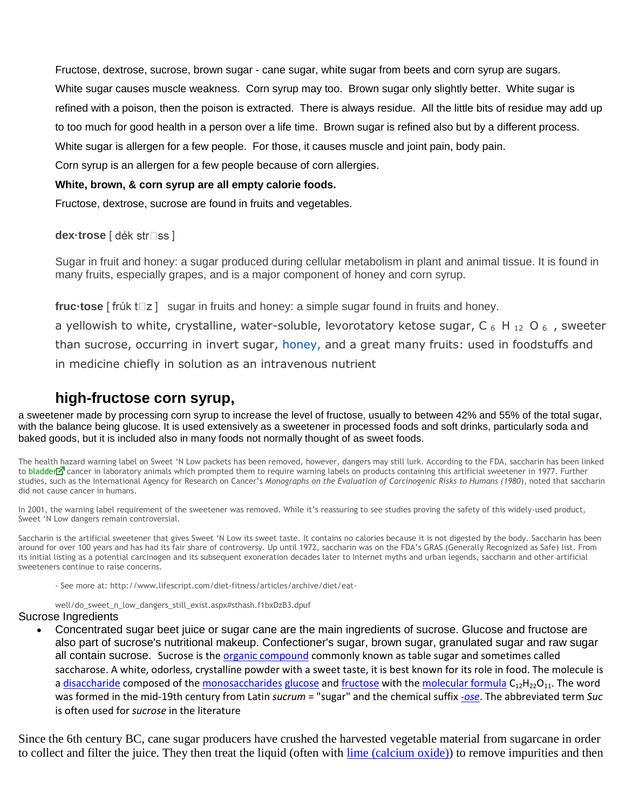Fructose, dextrose, sucrose, brown sugar - cane sugar, white sugar from beets and corn syrup are sugars. White sugar causes muscle weakness. Corn syrup may too. Brown sugar only slightly better. White sugar is refined with a poison, then the poison is extracted. There is always residue. All the little bits of residue may add up to too much for good health in a person over a life time. Brown sugar is refined also but by a different process. White sugar is allergen for a few people. For those, it causes muscle and joint pain, body pain.

Corn syrup is an allergen for a few people because of corn allergies.

#### **White, brown, & corn syrup are all empty calorie foods.**

Fructose, dextrose, sucrose are found in fruits and vegetables.

**dex·trose** [ dék str□ss ]

Sugar in fruit and honey: a sugar produced during cellular metabolism in plant and animal tissue. It is found in many fruits, especially grapes, and is a major component of honey and corn syrup.

**fruc-tose**  $\lceil$  frúk t $\Box$ z  $\rceil$  sugar in fruits and honey: a simple sugar found in fruits and honey.

a yellowish to white, crystalline, water-soluble, levorotatory ketose sugar, C  $_6$  H  $_{12}$  O  $_6$  , sweeter than sucrose, occurring in invert sugar, honey, and a great many fruits: used in foodstuffs and in medicine chiefly in solution as an intravenous nutrient

### **high-fructose corn syrup,**

a sweetener made by processing corn syrup to increase the level of fructose, usually to between 42% and 55% of the total sugar, with the balance being glucose. It is used extensively as a sweetener in processed foods and soft drinks, particularly soda and baked goods, but it is included also in many foods not normally thought of as sweet foods.

The health hazard warning label on Sweet 'N Low packets has been removed, however, dangers may still lurk. According to the FDA, saccharin has been linked to [bladder](http://www.lifescript.com/diet-fitness/articles/archive/diet/eat-well/do_sweet_n_low_dangers_still_exist.aspx) $\vec{r}$  cancer in laboratory animals which prompted them to require warning labels on products containing this artificial sweetener in 1977. Further studies, such as the International Agency for Research on Cancer's *Monographs on the Evaluation of Carcinogenic Risks to Humans (1980*), noted that saccharin did not cause cancer in humans.

In 2001, the warning label requirement of the sweetener was removed. While it's reassuring to see studies proving the safety of this widely-used product, Sweet 'N Low dangers remain controversial.

Saccharin is the artificial sweetener that gives Sweet 'N Low its sweet taste. It contains no calories because it is not digested by the body. Saccharin has been around for over 100 years and has had its fair share of controversy. Up until 1972, saccharin was on the FDA's GRAS (Generally Recognized as Safe) list. From its initial listing as a potential carcinogen and its subsequent exoneration decades later to Internet myths and urban legends, saccharin and other artificial sweeteners continue to raise concerns.

- See more at: http://www.lifescript.com/diet-fitness/articles/archive/diet/eat-

well/do\_sweet\_n\_low\_dangers\_still\_exist.aspx#sthash.f1bxDzB3.dpuf

#### Sucrose Ingredients

 Concentrated sugar beet juice or sugar cane are the main ingredients of sucrose. Glucose and fructose are also part of sucrose's nutritional makeup. Confectioner's sugar, brown sugar, granulated sugar and raw sugar all contain sucrose. Sucrose is th[e organic compound](http://en.wikipedia.org/wiki/Organic_compound) commonly known as table sugar and sometimes called saccharose. A white, odorless, crystalline powder with a sweet taste, it is best known for its role in food. The molecule is a [disaccharide](http://en.wikipedia.org/wiki/Disaccharide) composed of the [monosaccharides](http://en.wikipedia.org/wiki/Monosaccharides) [glucose](http://en.wikipedia.org/wiki/Glucose) and [fructose](http://en.wikipedia.org/wiki/Fructose) with the [molecular formula](http://en.wikipedia.org/wiki/Molecular_formula)  $C_{12}H_{22}O_{11}$ . The word was formed in the mid-19th century from Latin *sucrum* = "sugar" and the chemical suffix *[-ose](http://en.wikipedia.org/wiki/-ose)*. The abbreviated term *Suc* is often used for *sucrose* in the literature

Since the 6th century BC, cane sugar producers have crushed the harvested vegetable material from sugarcane in order to collect and filter the juice. They then treat the liquid (often with [lime \(calcium oxide\)\)](http://en.wikipedia.org/wiki/Calcium_oxide) to remove impurities and then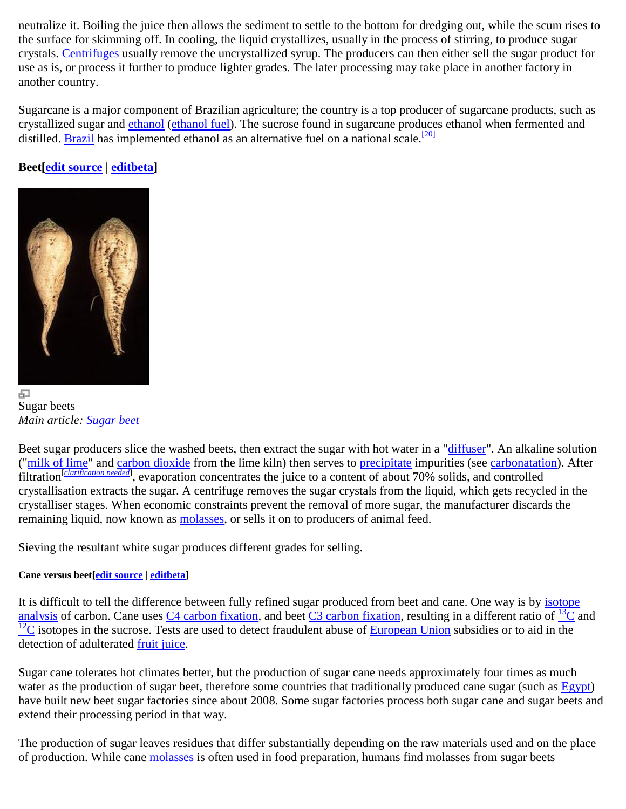neutralize it. Boiling the juice then allows the sediment to settle to the bottom for dredging out, while the scum rises to the surface for skimming off. In cooling, the liquid crystallizes, usually in the process of stirring, to produce sugar crystals. [Centrifuges](http://en.wikipedia.org/wiki/Centrifuge) usually remove the uncrystallized syrup. The producers can then either sell the sugar product for use as is, or process it further to produce lighter grades. The later processing may take place in another factory in another country.

Sugarcane is a major component of Brazilian agriculture; the country is a top producer of sugarcane products, such as crystallized sugar and [ethanol](http://en.wikipedia.org/wiki/Ethanol) [\(ethanol fuel\)](http://en.wikipedia.org/wiki/Ethanol_fuel). The sucrose found in sugarcane produces ethanol when fermented and distilled. **Brazil** has implemented ethanol as an alternative fuel on a national scale.<sup>[\[20\]](http://en.wikipedia.org/wiki/Table_sugar#cite_note-20)</sup>

### **Beet[\[edit source](http://en.wikipedia.org/w/index.php?title=Sucrose&action=edit§ion=13) | [editbeta\]](http://en.wikipedia.org/w/index.php?title=Sucrose&veaction=edit§ion=13)**



Sugar beets *Main article: [Sugar beet](http://en.wikipedia.org/wiki/Sugar_beet)*

Beet sugar producers slice the washed beets, then extract the sugar with hot water in a ["diffuser"](http://en.wikipedia.org/wiki/Diffuser). An alkaline solution (["milk of lime"](http://en.wikipedia.org/wiki/Lime_water) and [carbon dioxide](http://en.wikipedia.org/wiki/Carbon_dioxide) from the lime kiln) then serves to [precipitate](http://en.wikipedia.org/wiki/Precipitation_(chemistry)) impurities (see [carbonatation\)](http://en.wikipedia.org/wiki/Carbonatation). After filtration<sup>[[clarification needed](http://en.wikipedia.org/wiki/Wikipedia:Please_clarify)]</sup>, evaporation concentrates the juice to a content of about 70% solids, and controlled crystallisation extracts the sugar. A centrifuge removes the sugar crystals from the liquid, which gets recycled in the crystalliser stages. When economic constraints prevent the removal of more sugar, the manufacturer discards the remaining liquid, now known as [molasses,](http://en.wikipedia.org/wiki/Molasses) or sells it on to producers of animal feed.

Sieving the resultant white sugar produces different grades for selling.

### **Cane versus beet[\[edit source](http://en.wikipedia.org/w/index.php?title=Sucrose&action=edit§ion=14) | [editbeta\]](http://en.wikipedia.org/w/index.php?title=Sucrose&veaction=edit§ion=14)**

It is difficult to tell the difference between fully refined sugar produced from beet and cane. One way is by isotope [analysis](http://en.wikipedia.org/wiki/Isotope_analysis) of carbon. [C](http://en.wikipedia.org/wiki/Carbon_13)ane uses  $C4$  carbon fixation, and beet  $C3$  carbon fixation, resulting in a different ratio of  $^{13}C$  and  $12<sup>12</sup>C$  $12<sup>12</sup>C$  isotopes in the sucrose. Tests are used to detect fraudulent abuse of [European Union](http://en.wikipedia.org/wiki/European_Union) subsidies or to aid in the detection of adulterated [fruit juice.](http://en.wikipedia.org/wiki/Fruit_juice)

Sugar cane tolerates hot climates better, but the production of sugar cane needs approximately four times as much water as the production of sugar beet, therefore some countries that traditionally produced cane sugar (such as [Egypt\)](http://en.wikipedia.org/wiki/Egypt) have built new beet sugar factories since about 2008. Some sugar factories process both sugar cane and sugar beets and extend their processing period in that way.

The production of sugar leaves residues that differ substantially depending on the raw materials used and on the place of production. While cane [molasses](http://en.wikipedia.org/wiki/Molasses) is often used in food preparation, humans find molasses from sugar beets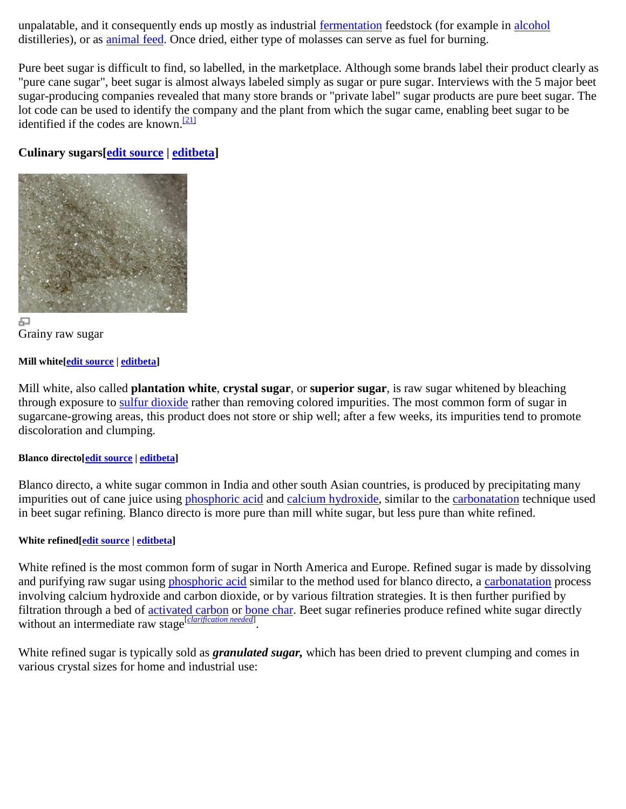unpalatable, and it consequently ends up mostly as industrial [fermentation](http://en.wikipedia.org/wiki/Fermentation_(food)) feedstock (for example in [alcohol](http://en.wikipedia.org/wiki/Alcohol) distilleries), or as [animal feed.](http://en.wikipedia.org/wiki/Compound_feed) Once dried, either type of molasses can serve as fuel for burning.

Pure beet sugar is difficult to find, so labelled, in the marketplace. Although some brands label their product clearly as "pure cane sugar", beet sugar is almost always labeled simply as sugar or pure sugar. Interviews with the 5 major beet sugar-producing companies revealed that many store brands or "private label" sugar products are pure beet sugar. The lot code can be used to identify the company and the plant from which the sugar came, enabling beet sugar to be identified if the codes are known.<sup>[\[21\]](http://en.wikipedia.org/wiki/Table_sugar#cite_note-21)</sup>

### **Culinary sugars[\[edit source](http://en.wikipedia.org/w/index.php?title=Sucrose&action=edit§ion=15) | [editbeta\]](http://en.wikipedia.org/w/index.php?title=Sucrose&veaction=edit§ion=15)**





#### **Mill white[\[edit source](http://en.wikipedia.org/w/index.php?title=Sucrose&action=edit§ion=16) [| editbeta\]](http://en.wikipedia.org/w/index.php?title=Sucrose&veaction=edit§ion=16)**

Mill white, also called **plantation white**, **crystal sugar**, or **superior sugar**, is raw sugar whitened by bleaching through exposure to [sulfur dioxide](http://en.wikipedia.org/wiki/Sulfur_dioxide) rather than removing colored impurities. The most common form of sugar in sugarcane-growing areas, this product does not store or ship well; after a few weeks, its impurities tend to promote discoloration and clumping.

#### **Blanco directo[\[edit source](http://en.wikipedia.org/w/index.php?title=Sucrose&action=edit§ion=17) | [editbeta\]](http://en.wikipedia.org/w/index.php?title=Sucrose&veaction=edit§ion=17)**

Blanco directo, a white sugar common in India and other south Asian countries, is produced by precipitating many impurities out of cane juice using [phosphoric acid](http://en.wikipedia.org/wiki/Phosphoric_acid) and [calcium hydroxide,](http://en.wikipedia.org/wiki/Calcium_hydroxide) similar to the [carbonatation](http://en.wikipedia.org/wiki/Carbonatation) technique used in beet sugar refining. Blanco directo is more pure than mill white sugar, but less pure than white refined.

#### **White refined[\[edit source](http://en.wikipedia.org/w/index.php?title=Sucrose&action=edit§ion=18) | [editbeta\]](http://en.wikipedia.org/w/index.php?title=Sucrose&veaction=edit§ion=18)**

White refined is the most common form of sugar in North America and Europe. Refined sugar is made by dissolving and purifying raw sugar using [phosphoric acid](http://en.wikipedia.org/wiki/Phosphoric_acid) similar to the method used for blanco directo, a [carbonatation](http://en.wikipedia.org/wiki/Carbonatation) process involving calcium hydroxide and carbon dioxide, or by various filtration strategies. It is then further purified by filtration through a bed of **activated carbon** or **bone char**. Beet sugar refineries produce refined white sugar directly without an intermediate raw stage<sup>[*[clarification needed](http://en.wikipedia.org/wiki/Wikipedia:Please_clarify)*].</sup>

White refined sugar is typically sold as *granulated sugar,* which has been dried to prevent clumping and comes in various crystal sizes for home and industrial use: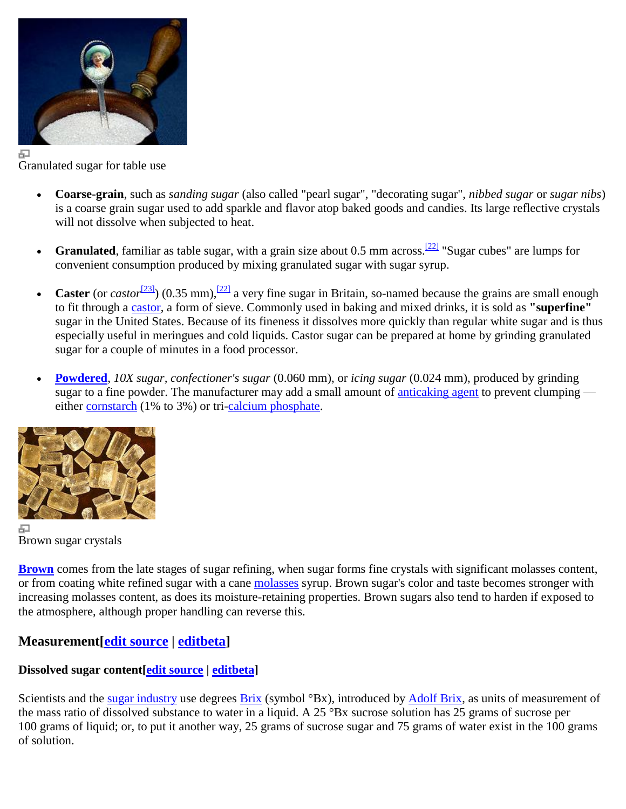

Granulated sugar for table use

- **Coarse-grain**, such as *sanding sugar* (also called "pearl sugar", "decorating sugar", *nibbed sugar* or *sugar nibs*) is a coarse grain sugar used to add sparkle and flavor atop baked goods and candies. Its large reflective crystals will not dissolve when subjected to heat.
- **Granulated**, familiar as table sugar, with a grain size about 0.5 mm across.<sup>[\[22\]](http://en.wikipedia.org/wiki/Table_sugar#cite_note-tryengineering-22)</sup> "Sugar cubes" are lumps for convenient consumption produced by mixing granulated sugar with sugar syrup.
- **Caster** (or *castor*<sup>[\[23\]](http://en.wikipedia.org/wiki/Table_sugar#cite_note-23)</sup>) (0.35 mm),<sup>[\[22\]](http://en.wikipedia.org/wiki/Table_sugar#cite_note-tryengineering-22)</sup> a very fine sugar in Britain, so-named because the grains are small enough to fit through a [castor,](http://en.wikipedia.org/wiki/Castor_(cooking)) a form of sieve. Commonly used in baking and mixed drinks, it is sold as **"superfine"** sugar in the United States. Because of its fineness it dissolves more quickly than regular white sugar and is thus especially useful in meringues and cold liquids. Castor sugar can be prepared at home by grinding granulated sugar for a couple of minutes in a food processor.
- **[Powdered](http://en.wikipedia.org/wiki/Powdered_sugar)**, *10X sugar, confectioner's sugar* (0.060 mm), or *icing sugar* (0.024 mm), produced by grinding sugar to a fine powder. The manufacturer may add a small amount of [anticaking agent](http://en.wikipedia.org/wiki/Anticaking_agent) to prevent clumping either [cornstarch](http://en.wikipedia.org/wiki/Cornstarch) (1% to 3%) or tri[-calcium phosphate.](http://en.wikipedia.org/wiki/Calcium_phosphate)



Brown sugar crystals

**[Brown](http://en.wikipedia.org/wiki/Brown_sugar)** comes from the late stages of sugar refining, when sugar forms fine crystals with significant molasses content, or from coating white refined sugar with a cane [molasses](http://en.wikipedia.org/wiki/Molasses) syrup. Brown sugar's color and taste becomes stronger with increasing molasses content, as does its moisture-retaining properties. Brown sugars also tend to harden if exposed to the atmosphere, although proper handling can reverse this.

### **Measurement[\[edit source](http://en.wikipedia.org/w/index.php?title=Sucrose&action=edit§ion=19) | [editbeta\]](http://en.wikipedia.org/w/index.php?title=Sucrose&veaction=edit§ion=19)**

### **Dissolved sugar content[\[edit source](http://en.wikipedia.org/w/index.php?title=Sucrose&action=edit§ion=20) | [editbeta\]](http://en.wikipedia.org/w/index.php?title=Sucrose&veaction=edit§ion=20)**

Scientists and the [sugar industry](http://en.wikipedia.org/w/index.php?title=Sugar_industry&action=edit&redlink=1) use degrees [Brix](http://en.wikipedia.org/wiki/Brix) (symbol °Bx), introduced by [Adolf Brix,](http://en.wikipedia.org/wiki/Adolf_Ferdinand_Wenceslaus_Brix) as units of measurement of the mass ratio of dissolved substance to water in a liquid. A 25 °Bx sucrose solution has 25 grams of sucrose per 100 grams of liquid; or, to put it another way, 25 grams of sucrose sugar and 75 grams of water exist in the 100 grams of solution.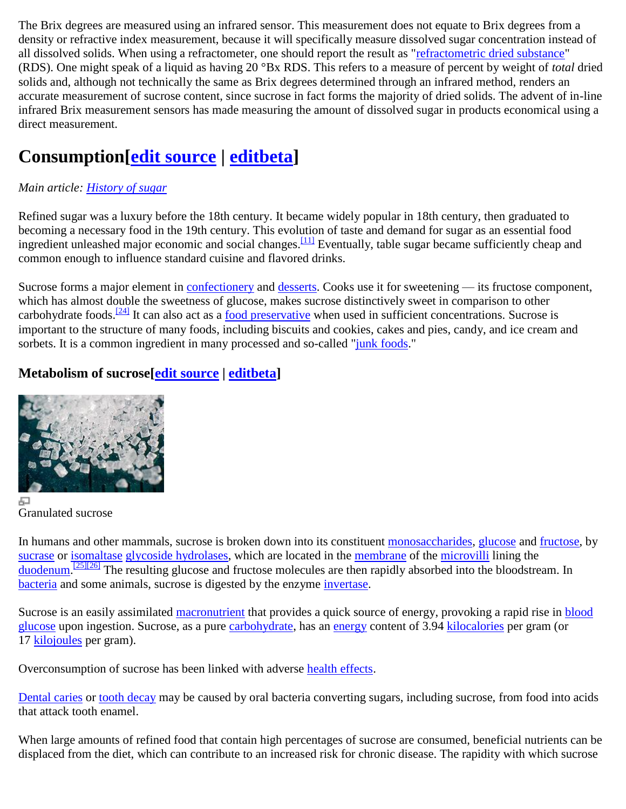The Brix degrees are measured using an infrared sensor. This measurement does not equate to Brix degrees from a density or refractive index measurement, because it will specifically measure dissolved sugar concentration instead of all dissolved solids. When using a refractometer, one should report the result as ["refractometric dried substance"](http://en.wikipedia.org/w/index.php?title=Refractometric_dried_substance&action=edit&redlink=1) (RDS). One might speak of a liquid as having 20 °Bx RDS. This refers to a measure of percent by weight of *total* dried solids and, although not technically the same as Brix degrees determined through an infrared method, renders an accurate measurement of sucrose content, since sucrose in fact forms the majority of dried solids. The advent of in-line infrared Brix measurement sensors has made measuring the amount of dissolved sugar in products economical using a direct measurement.

# **Consumption[\[edit source](http://en.wikipedia.org/w/index.php?title=Sucrose&action=edit§ion=21) | [editbeta\]](http://en.wikipedia.org/w/index.php?title=Sucrose&veaction=edit§ion=21)**

### *Main article: [History of sugar](http://en.wikipedia.org/wiki/History_of_sugar)*

Refined sugar was a luxury before the 18th century. It became widely popular in 18th century, then graduated to becoming a necessary food in the 19th century. This evolution of taste and demand for sugar as an essential food ingredient unleashed major economic and social changes.<sup>[\[11\]](http://en.wikipedia.org/wiki/Table_sugar#cite_note-mintz-11)</sup> Eventually, table sugar became sufficiently cheap and common enough to influence standard cuisine and flavored drinks.

Sucrose forms a major element in [confectionery](http://en.wikipedia.org/wiki/Confectionery) and [desserts.](http://en.wikipedia.org/wiki/Dessert) Cooks use it for sweetening — its fructose component, which has almost double the sweetness of glucose, makes sucrose distinctively sweet in comparison to other carbohydrate foods.<sup>[\[24\]](http://en.wikipedia.org/wiki/Table_sugar#cite_note-Taubes-24)</sup> It can also act as a [food preservative](http://en.wikipedia.org/wiki/Sugaring) when used in sufficient concentrations. Sucrose is important to the structure of many foods, including biscuits and cookies, cakes and pies, candy, and ice cream and sorbets. It is a common ingredient in many processed and so-called ["junk foods.](http://en.wikipedia.org/wiki/Junk_food)"

### **Metabolism of sucrose[\[edit source](http://en.wikipedia.org/w/index.php?title=Sucrose&action=edit§ion=22) | [editbeta\]](http://en.wikipedia.org/w/index.php?title=Sucrose&veaction=edit§ion=22)**



品 Granulated sucrose

In humans and other mammals, sucrose is broken down into its constituent [monosaccharides,](http://en.wikipedia.org/wiki/Monosaccharides) [glucose](http://en.wikipedia.org/wiki/Glucose) and [fructose,](http://en.wikipedia.org/wiki/Fructose) by [sucrase](http://en.wikipedia.org/wiki/Sucrase) or [isomaltase](http://en.wikipedia.org/wiki/Isomaltase) [glycoside hydrolases,](http://en.wikipedia.org/wiki/Glycoside_hydrolases) which are located in the [membrane](http://en.wikipedia.org/wiki/Cell_membrane) of the [microvilli](http://en.wikipedia.org/wiki/Microvilli) lining the [duodenum.](http://en.wikipedia.org/wiki/Duodenum)<sup>[\[25\]\[26\]](http://en.wikipedia.org/wiki/Table_sugar#cite_note-25)</sup> The resulting glucose and fructose molecules are then rapidly absorbed into the bloodstream. In [bacteria](http://en.wikipedia.org/wiki/Bacteria) and some animals, sucrose is digested by the enzyme [invertase.](http://en.wikipedia.org/wiki/Invertase)

Sucrose is an easily assimilated [macronutrient](http://en.wikipedia.org/wiki/Nutrient) that provides a quick source of energy, provoking a rapid rise in blood [glucose](http://en.wikipedia.org/wiki/Blood_glucose) upon ingestion. Sucrose, as a pure [carbohydrate,](http://en.wikipedia.org/wiki/Carbohydrate) has an [energy](http://en.wikipedia.org/wiki/Energy) content of 3.94 [kilocalories](http://en.wikipedia.org/wiki/Kilocalorie) per gram (or 17 [kilojoules](http://en.wikipedia.org/wiki/Kilojoule) per gram).

Overconsumption of sucrose has been linked with adverse [health effects.](http://en.wikipedia.org/wiki/Health_effects)

[Dental caries](http://en.wikipedia.org/wiki/Dental_caries) or [tooth decay](http://en.wikipedia.org/wiki/Tooth_decay) may be caused by oral bacteria converting sugars, including sucrose, from food into acids that attack tooth enamel.

When large amounts of refined food that contain high percentages of sucrose are consumed, beneficial nutrients can be displaced from the diet, which can contribute to an increased risk for chronic disease. The rapidity with which sucrose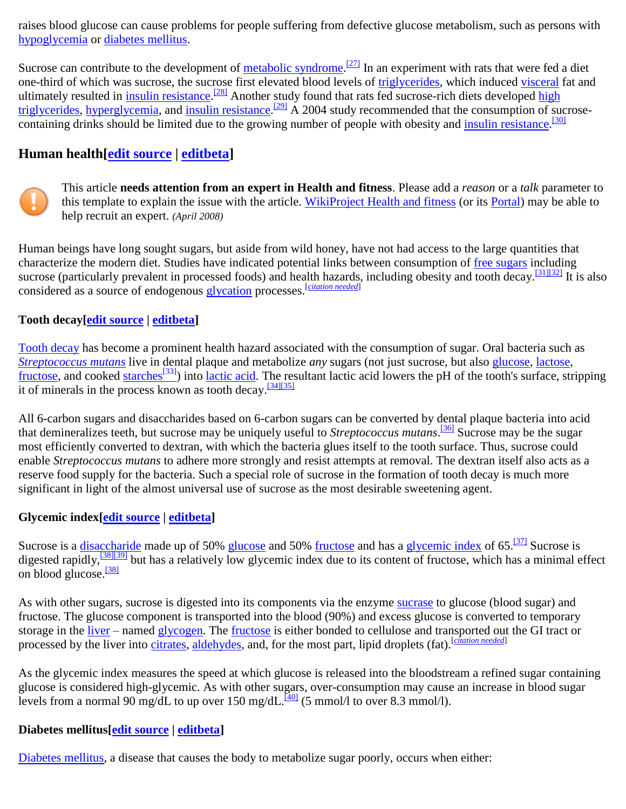raises blood glucose can cause problems for people suffering from defective glucose metabolism, such as persons with [hypoglycemia](http://en.wikipedia.org/wiki/Hypoglycemia) or [diabetes mellitus.](http://en.wikipedia.org/wiki/Diabetes_mellitus)

Sucrose can contribute to the development of [metabolic syndrome.](http://en.wikipedia.org/wiki/Metabolic_syndrome)<sup>[\[27\]](http://en.wikipedia.org/wiki/Table_sugar#cite_note-27)</sup> In an experiment with rats that were fed a diet one-third of which was sucrose, the sucrose first elevated blood levels of [triglycerides,](http://en.wikipedia.org/wiki/Triglyceride) which induced [visceral](http://en.wikipedia.org/wiki/Visceral) fat and ultimately resulted in *insulin resistance*.<sup>[\[28\]](http://en.wikipedia.org/wiki/Table_sugar#cite_note-28)</sup> Another study found that rats fed sucrose-rich diets developed high [triglycerides,](http://en.wikipedia.org/wiki/Hypertriglyceridemia) [hyperglycemia,](http://en.wikipedia.org/wiki/Hyperglycemia) and [insulin resistance.](http://en.wikipedia.org/wiki/Insulin_resistance)<sup>[\[29\]](http://en.wikipedia.org/wiki/Table_sugar#cite_note-29)</sup> A 2004 study recommended that the consumption of sucrosecontaining drinks should be limited due to the growing number of people with obesity and [insulin resistance.](http://en.wikipedia.org/wiki/Insulin_resistance)<sup>[\[30\]](http://en.wikipedia.org/wiki/Table_sugar#cite_note-30)</sup>

### **Human health[\[edit source](http://en.wikipedia.org/w/index.php?title=Sucrose&action=edit§ion=23) | [editbeta\]](http://en.wikipedia.org/w/index.php?title=Sucrose&veaction=edit§ion=23)**



This article **needs attention from an expert in Health and fitness**. Please add a *reason* or a *talk* parameter to this template to explain the issue with the article. [WikiProject Health and fitness](http://en.wikipedia.org/wiki/Wikipedia:WikiProject_Health_and_fitness) (or its [Portal\)](http://en.wikipedia.org/wiki/Wikipedia:P) may be able to help recruit an expert. *(April 2008)*

Human beings have long sought sugars, but aside from wild honey, have not had access to the large quantities that characterize the modern diet. Studies have indicated potential links between consumption of [free sugars](http://en.wikipedia.org/wiki/Free_sugar) including sucrose (particularly prevalent in processed foods) and health hazards, including obesity and tooth decay.<sup>[\[31\]\[32\]](http://en.wikipedia.org/wiki/Table_sugar#cite_note-31)</sup> It is also considered as a source of endogenous [glycation](http://en.wikipedia.org/wiki/Glycation) processes.[*[citation needed](http://en.wikipedia.org/wiki/Wikipedia:Citation_needed)*]

### **Tooth decay[\[edit source](http://en.wikipedia.org/w/index.php?title=Sucrose&action=edit§ion=24) | [editbeta\]](http://en.wikipedia.org/w/index.php?title=Sucrose&veaction=edit§ion=24)**

[Tooth decay](http://en.wikipedia.org/wiki/Dental_caries) has become a prominent health hazard associated with the consumption of sugar. Oral bacteria such as *[Streptococcus mutans](http://en.wikipedia.org/wiki/Streptococcus_mutans)* live in dental plaque and metabolize *any* sugars (not just sucrose, but also [glucose,](http://en.wikipedia.org/wiki/Glucose) [lactose,](http://en.wikipedia.org/wiki/Lactose) [fructose,](http://en.wikipedia.org/wiki/Fructose) and cooked [starches](http://en.wikipedia.org/wiki/Starches)<sup>[\[33\]](http://en.wikipedia.org/wiki/Starches)</sup>) into [lactic acid.](http://en.wikipedia.org/wiki/Lactic_acid) The resultant lactic acid lowers the pH of the tooth's surface, stripping it of minerals in the process known as tooth decay.<sup>[\[34\]\[35\]](http://en.wikipedia.org/wiki/Table_sugar#cite_note-34)</sup>

All 6-carbon sugars and disaccharides based on 6-carbon sugars can be converted by dental plaque bacteria into acid that demineralizes teeth, but sucrose may be uniquely useful to *Streptococcus mutans*. [\[36\]](http://en.wikipedia.org/wiki/Table_sugar#cite_note-36) Sucrose may be the sugar most efficiently converted to dextran, with which the bacteria glues itself to the tooth surface. Thus, sucrose could enable *Streptococcus mutans* to adhere more strongly and resist attempts at removal. The dextran itself also acts as a reserve food supply for the bacteria. Such a special role of sucrose in the formation of tooth decay is much more significant in light of the almost universal use of sucrose as the most desirable sweetening agent.

### **Glycemic index[\[edit source](http://en.wikipedia.org/w/index.php?title=Sucrose&action=edit§ion=25) | [editbeta\]](http://en.wikipedia.org/w/index.php?title=Sucrose&veaction=edit§ion=25)**

Sucrose is a [disaccharide](http://en.wikipedia.org/wiki/Disaccharide) made up of 50% [glucose](http://en.wikipedia.org/wiki/Glucose) and 50% [fructose](http://en.wikipedia.org/wiki/Fructose) and has a [glycemic index](http://en.wikipedia.org/wiki/Glycemic_index) of 65.<sup>[\[37\]](http://en.wikipedia.org/wiki/Table_sugar#cite_note-37)</sup> Sucrose is digested rapidly,  $\frac{138[139]}{100}$  but has a relatively low glycemic index due to its content of fructose, which has a minimal effect on blood glucose.<sup>[\[38\]](http://en.wikipedia.org/wiki/Table_sugar#cite_note-wolever-38)</sup>

As with other sugars, sucrose is digested into its components via the enzyme [sucrase](http://en.wikipedia.org/wiki/Sucrase) to glucose (blood sugar) and fructose. The glucose component is transported into the blood (90%) and excess glucose is converted to temporary storage in the [liver](http://en.wikipedia.org/wiki/Liver) – named [glycogen.](http://en.wikipedia.org/wiki/Glycogen) The [fructose](http://en.wikipedia.org/wiki/Fructose) is either bonded to cellulose and transported out the GI tract or processed by the liver into [citrates,](http://en.wikipedia.org/wiki/Citrate) [aldehydes,](http://en.wikipedia.org/wiki/Aldehyde) and, for the most part, lipid droplets (fat).<sup>[*[citation needed](http://en.wikipedia.org/wiki/Wikipedia:Citation_needed)*]</sup>

As the glycemic index measures the speed at which glucose is released into the bloodstream a refined sugar containing glucose is considered high-glycemic. As with other sugars, over-consumption may cause an increase in blood sugar levels from a normal 90 mg/dL to up over 150 mg/dL.<sup>[\[40\]](http://en.wikipedia.org/wiki/Table_sugar#cite_note-40)</sup> (5 mmol/l to over 8.3 mmol/l).

### **Diabetes mellitus[\[edit source](http://en.wikipedia.org/w/index.php?title=Sucrose&action=edit§ion=26) | [editbeta\]](http://en.wikipedia.org/w/index.php?title=Sucrose&veaction=edit§ion=26)**

[Diabetes mellitus,](http://en.wikipedia.org/wiki/Diabetes_mellitus) a disease that causes the body to metabolize sugar poorly, occurs when either: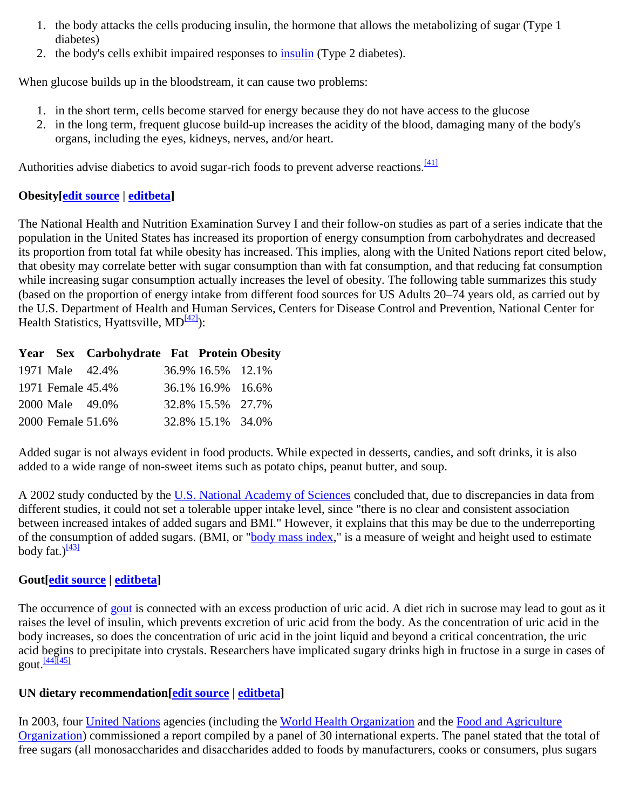- 1. the body attacks the cells producing insulin, the hormone that allows the metabolizing of sugar (Type 1 diabetes)
- 2. the body's cells exhibit impaired responses to [insulin](http://en.wikipedia.org/wiki/Insulin) (Type 2 diabetes).

When glucose builds up in the bloodstream, it can cause two problems:

- 1. in the short term, cells become starved for energy because they do not have access to the glucose
- 2. in the long term, frequent glucose build-up increases the acidity of the blood, damaging many of the body's organs, including the eyes, kidneys, nerves, and/or heart.

Authorities advise diabetics to avoid sugar-rich foods to prevent adverse reactions.<sup>[\[41\]](http://en.wikipedia.org/wiki/Table_sugar#cite_note-41)</sup>

### **Obesity[\[edit source](http://en.wikipedia.org/w/index.php?title=Sucrose&action=edit§ion=27) | [editbeta\]](http://en.wikipedia.org/w/index.php?title=Sucrose&veaction=edit§ion=27)**

The National Health and Nutrition Examination Survey I and their follow-on studies as part of a series indicate that the population in the United States has increased its proportion of energy consumption from carbohydrates and decreased its proportion from total fat while obesity has increased. This implies, along with the United Nations report cited below, that obesity may correlate better with sugar consumption than with fat consumption, and that reducing fat consumption while increasing sugar consumption actually increases the level of obesity. The following table summarizes this study (based on the proportion of energy intake from different food sources for US Adults 20–74 years old, as carried out by the U.S. Department of Health and Human Services, Centers for Disease Control and Prevention, National Center for Health Statistics, Hyattsville,  $MD^{[42]}$  $MD^{[42]}$  $MD^{[42]}$ :

|                   | Year Sex Carbohydrate Fat Protein Obesity |                   |  |
|-------------------|-------------------------------------------|-------------------|--|
| 1971 Male 42.4%   |                                           | 36.9% 16.5% 12.1% |  |
| 1971 Female 45.4% |                                           | 36.1% 16.9% 16.6% |  |
| 2000 Male 49.0%   |                                           | 32.8% 15.5% 27.7% |  |
| 2000 Female 51.6% |                                           | 32.8% 15.1% 34.0% |  |

Added sugar is not always evident in food products. While expected in desserts, candies, and soft drinks, it is also added to a wide range of non-sweet items such as potato chips, peanut butter, and soup.

A 2002 study conducted by the [U.S. National Academy of Sciences](http://en.wikipedia.org/wiki/United_States_National_Academy_of_Sciences) concluded that, due to discrepancies in data from different studies, it could not set a tolerable upper intake level, since "there is no clear and consistent association between increased intakes of added sugars and BMI." However, it explains that this may be due to the underreporting of the consumption of added sugars. (BMI, or ["body mass index,](http://en.wikipedia.org/wiki/Body_mass_index)" is a measure of weight and height used to estimate body fat.) $\frac{[43]}{[43]}$  $\frac{[43]}{[43]}$  $\frac{[43]}{[43]}$ 

### **Gout[\[edit source](http://en.wikipedia.org/w/index.php?title=Sucrose&action=edit§ion=28) | [editbeta\]](http://en.wikipedia.org/w/index.php?title=Sucrose&veaction=edit§ion=28)**

The occurrence of [gout](http://en.wikipedia.org/wiki/Gout) is connected with an excess production of uric acid. A diet rich in sucrose may lead to gout as it raises the level of insulin, which prevents excretion of uric acid from the body. As the concentration of uric acid in the body increases, so does the concentration of uric acid in the joint liquid and beyond a critical concentration, the uric acid begins to precipitate into crystals. Researchers have implicated sugary drinks high in fructose in a surge in cases of  $g$ out. $\frac{[44][45]}{[46]}$  $\frac{[44][45]}{[46]}$  $\frac{[44][45]}{[46]}$ 

### **UN dietary recommendation[\[edit source](http://en.wikipedia.org/w/index.php?title=Sucrose&action=edit§ion=29) | [editbeta\]](http://en.wikipedia.org/w/index.php?title=Sucrose&veaction=edit§ion=29)**

In 2003, four [United Nations](http://en.wikipedia.org/wiki/United_Nations) agencies (including the [World Health Organization](http://en.wikipedia.org/wiki/World_Health_Organization) and the [Food and Agriculture](http://en.wikipedia.org/wiki/Food_and_Agriculture_Organization)  [Organization\)](http://en.wikipedia.org/wiki/Food_and_Agriculture_Organization) commissioned a report compiled by a panel of 30 international experts. The panel stated that the total of free sugars (all monosaccharides and disaccharides added to foods by manufacturers, cooks or consumers, plus sugars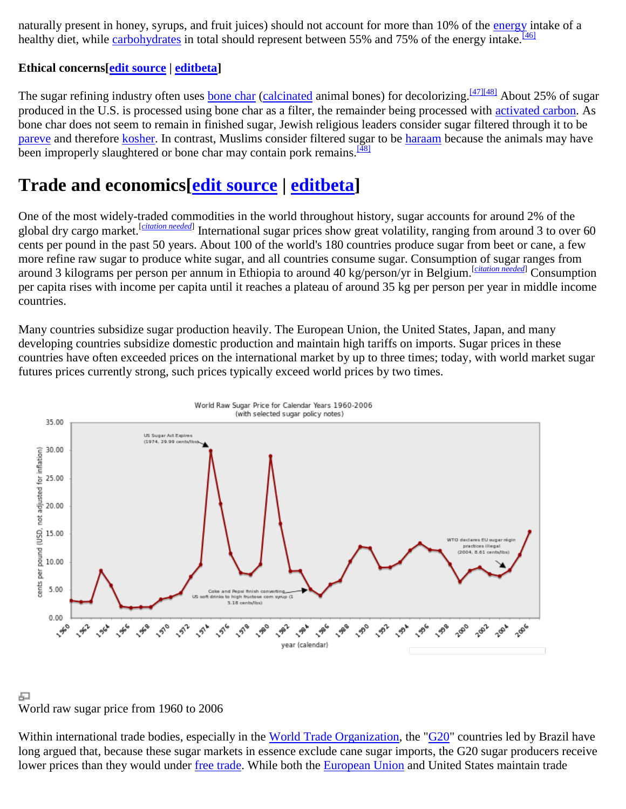naturally present in honey, syrups, and fruit juices) should not account for more than 10% of the [energy](http://en.wikipedia.org/wiki/Energy) intake of a healthy diet, while [carbohydrates](http://en.wikipedia.org/wiki/Carbohydrate) in total should represent between 55% and 75% of the energy intake.<sup>[\[46\]](http://en.wikipedia.org/wiki/Table_sugar#cite_note-46)</sup>

### **Ethical concerns[\[edit source](http://en.wikipedia.org/w/index.php?title=Sucrose&action=edit§ion=30) | [editbeta\]](http://en.wikipedia.org/w/index.php?title=Sucrose&veaction=edit§ion=30)**

The sugar refining industry often uses [bone char](http://en.wikipedia.org/wiki/Bone_char) [\(calcinated](http://en.wikipedia.org/wiki/Calcinated) animal bones) for decolorizing. [\[47\]\[48\]](http://en.wikipedia.org/wiki/Table_sugar#cite_note-47) About 25% of sugar produced in the U.S. is processed using bone char as a filter, the remainder being processed with [activated carbon.](http://en.wikipedia.org/wiki/Activated_carbon) As bone char does not seem to remain in finished sugar, Jewish religious leaders consider sugar filtered through it to be [pareve](http://en.wikipedia.org/wiki/Pareve) and therefore [kosher.](http://en.wikipedia.org/wiki/Kosher) In contrast, Muslims consider filtered sugar to be [haraam](http://en.wikipedia.org/wiki/Haraam) because the animals may have been improperly slaughtered or bone char may contain pork remains.<sup>[\[48\]](http://en.wikipedia.org/wiki/Table_sugar#cite_note-VegetarianJournal-48)</sup>

# **Trade and economics[\[edit source](http://en.wikipedia.org/w/index.php?title=Sucrose&action=edit§ion=31) | [editbeta\]](http://en.wikipedia.org/w/index.php?title=Sucrose&veaction=edit§ion=31)**

One of the most widely-traded commodities in the world throughout history, sugar accounts for around 2% of the global dry cargo market.[*[citation needed](http://en.wikipedia.org/wiki/Wikipedia:Citation_needed)*] International sugar prices show great volatility, ranging from around 3 to over 60 cents per pound in the past 50 years. About 100 of the world's 180 countries produce sugar from beet or cane, a few more refine raw sugar to produce white sugar, and all countries consume sugar. Consumption of sugar ranges from around 3 kilograms per person per annum in Ethiopia to around 40 kg/person/yr in Belgium.[*[citation needed](http://en.wikipedia.org/wiki/Wikipedia:Citation_needed)*] Consumption per capita rises with income per capita until it reaches a plateau of around 35 kg per person per year in middle income countries.

Many countries subsidize sugar production heavily. The European Union, the United States, Japan, and many developing countries subsidize domestic production and maintain high tariffs on imports. Sugar prices in these countries have often exceeded prices on the international market by up to three times; today, with world market sugar futures prices currently strong, such prices typically exceed world prices by two times.



#### 모 World raw sugar price from 1960 to 2006

Within international trade bodies, especially in the [World Trade Organization,](http://en.wikipedia.org/wiki/World_Trade_Organization) the ["G20"](http://en.wikipedia.org/wiki/G20_developing_nations) countries led by Brazil have long argued that, because these sugar markets in essence exclude cane sugar imports, the G20 sugar producers receive lower prices than they would under [free trade.](http://en.wikipedia.org/wiki/Free_trade) While both the [European Union](http://en.wikipedia.org/wiki/European_Union) and United States maintain trade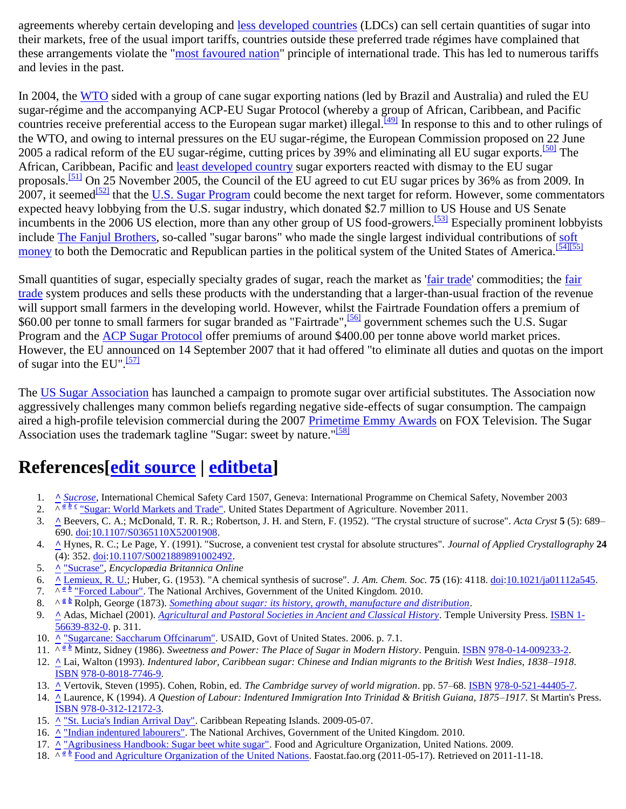agreements whereby certain developing and [less developed countries](http://en.wikipedia.org/wiki/Less_developed_country) (LDCs) can sell certain quantities of sugar into their markets, free of the usual import tariffs, countries outside these preferred trade régimes have complained that these arrangements violate the ["most favoured nation"](http://en.wikipedia.org/wiki/Most_favoured_nation) principle of international trade. This has led to numerous tariffs and levies in the past.

In 2004, the [WTO](http://en.wikipedia.org/wiki/World_Trade_Organization) sided with a group of cane sugar exporting nations (led by Brazil and Australia) and ruled the EU sugar-régime and the accompanying ACP-EU Sugar Protocol (whereby a group of African, Caribbean, and Pacific countries receive preferential access to the European sugar market) illegal.<sup>[\[49\]](http://en.wikipedia.org/wiki/Table_sugar#cite_note-49)</sup> In response to this and to other rulings of the WTO, and owing to internal pressures on the EU sugar-régime, the European Commission proposed on 22 June 2005 a radical reform of the EU sugar-régime, cutting prices by 39% and eliminating all EU sugar exports.<sup>[\[50\]](http://en.wikipedia.org/wiki/Table_sugar#cite_note-50)</sup> The African, Caribbean, Pacific and [least developed country](http://en.wikipedia.org/wiki/Least_developed_country) sugar exporters reacted with dismay to the EU sugar proposals.<sup>[\[51\]](http://en.wikipedia.org/wiki/Table_sugar#cite_note-51)</sup> On 25 November 2005, the Council of the EU agreed to cut EU sugar prices by 36% as from 2009. In  $2007$ , it seemed<sup>[\[52\]](http://en.wikipedia.org/wiki/Table_sugar#cite_note-52)</sup> that the <u>U.S. Sugar Program</u> could become the next target for reform. However, some commentators expected heavy lobbying from the U.S. sugar industry, which donated \$2.7 million to US House and US Senate incumbents in the 2006 US election, more than any other group of US food-growers.<sup>[\[53\]](http://en.wikipedia.org/wiki/Table_sugar#cite_note-53)</sup> Especially prominent lobbyists include [The Fanjul Brothers,](http://en.wikipedia.org/wiki/The_Fanjul_Brothers) so-called "sugar barons" who made the single largest individual contributions of [soft](http://en.wikipedia.org/wiki/Soft_money)  [money](http://en.wikipedia.org/wiki/Soft_money) to both the Democratic and Republican parties in the political system of the United States of America.<sup>[\[54\]\[55\]](http://en.wikipedia.org/wiki/Table_sugar#cite_note-54)</sup>

Small quantities of sugar, especially specialty grades of sugar, reach the market as ['fair trade'](http://en.wikipedia.org/wiki/Fair_trade) commodities; the fair [trade](http://en.wikipedia.org/wiki/Fair_trade) system produces and sells these products with the understanding that a larger-than-usual fraction of the revenue will support small farmers in the developing world. However, whilst the Fairtrade Foundation offers a premium of \$60.00 per tonne to small farmers for sugar branded as "Fairtrade", <sup>[\[56\]](http://en.wikipedia.org/wiki/Table_sugar#cite_note-56)</sup> government schemes such the U.S. Sugar Program and the [ACP Sugar Protocol](http://en.wikipedia.org/w/index.php?title=ACP_Sugar_Protocol&action=edit&redlink=1) offer premiums of around \$400.00 per tonne above world market prices. However, the EU announced on 14 September 2007 that it had offered "to eliminate all duties and quotas on the import of sugar into the EU".<sup>[\[57\]](http://en.wikipedia.org/wiki/Table_sugar#cite_note-57)</sup>

The [US Sugar Association](http://en.wikipedia.org/w/index.php?title=US_Sugar_Association&action=edit&redlink=1) has launched a campaign to promote sugar over artificial substitutes. The Association now aggressively challenges many common beliefs regarding negative side-effects of sugar consumption. The campaign aired a high-profile television commercial during the 2007 [Primetime Emmy Awards](http://en.wikipedia.org/wiki/Primetime_Emmy_Awards) on FOX Television. The Sugar Association uses the trademark tagline "Sugar: sweet by nature."<sup>[\[58\]](http://en.wikipedia.org/wiki/Table_sugar#cite_note-58)</sup>

# **References[\[edit source](http://en.wikipedia.org/w/index.php?title=Sucrose&action=edit§ion=32) | [editbeta\]](http://en.wikipedia.org/w/index.php?title=Sucrose&veaction=edit§ion=32)**

- 1. **[^](http://en.wikipedia.org/wiki/Table_sugar#cite_ref-ICSC_1-0)** *[Sucrose](http://www.inchem.org/documents/icsc/icsc/eics1507.htm)*, International Chemical Safety Card 1507, Geneva: International Programme on Chemical Safety, November 2003
- 2. $\sqrt{a} \cdot \frac{b}{c}$  $\sqrt{a} \cdot \frac{b}{c}$  $\sqrt{a} \cdot \frac{b}{c}$  $\sqrt{a} \cdot \frac{b}{c}$  $\sqrt{a} \cdot \frac{b}{c}$  ["Sugar: World Markets and Trade".](http://www.fas.usda.gov/htp/sugar/2011/Nov2011sugar.pdf) United States Department of Agriculture. November 2011.
- 3. **[^](http://en.wikipedia.org/wiki/Table_sugar#cite_ref-3)** Beevers, C. A.; McDonald, T. R. R.; Robertson, J. H. and Stern, F. (1952). "The crystal structure of sucrose". *Acta Cryst* **5** (5): 689– 690. [doi](http://en.wikipedia.org/wiki/Digital_object_identifier)[:10.1107/S0365110X52001908.](http://dx.doi.org/10.1107%2FS0365110X52001908)
- 4. **[^](http://en.wikipedia.org/wiki/Table_sugar#cite_ref-4)** Hynes, R. C.; Le Page, Y. (1991). "Sucrose, a convenient test crystal for absolute structures". *Journal of Applied Crystallography* **24** (4): 352. [doi](http://en.wikipedia.org/wiki/Digital_object_identifier)[:10.1107/S0021889891002492.](http://dx.doi.org/10.1107%2FS0021889891002492)
- 5. **[^](http://en.wikipedia.org/wiki/Table_sugar#cite_ref-5)** ["Sucrase",](http://www.britannica.com/EBchecked/topic/571354/sucrase) *Encyclopædia Britannica Online*
- 6. **[^](http://en.wikipedia.org/wiki/Table_sugar#cite_ref-Lemieux_6-0)** [Lemieux, R. U.;](http://en.wikipedia.org/wiki/Raymond_Lemieux) Huber, G. (1953). "A chemical synthesis of sucrose". *J. Am. Chem. Soc.* **75** (16): 4118. [doi](http://en.wikipedia.org/wiki/Digital_object_identifier)[:10.1021/ja01112a545.](http://dx.doi.org/10.1021%2Fja01112a545)
- 7. $\sqrt{4}$  *[b](http://en.wikipedia.org/wiki/Table_sugar#cite_ref-britain1_7-1)* ["Forced Labour".](http://www.nationalarchives.gov.uk/pathways/blackhistory/india/forced.htm) The National Archives, Government of the United Kingdom. 2010.
- 8. $\wedge^{\underline{a} \underline{b}}$  $\wedge^{\underline{a} \underline{b}}$  $\wedge^{\underline{a} \underline{b}}$  Rolph, George (1873). *[Something about sugar: its history, growth, manufacture and distribution](http://www.archive.org/details/somethingaboutsu00rolprich)*.
- 9. **[^](http://en.wikipedia.org/wiki/Table_sugar#cite_ref-Adas_9-0)** Adas, Michael (2001). *[Agricultural and Pastoral Societies in Ancient and Classical History](http://books.google.com/books?id=qcSsoJ0IXawC&pg=PA311)*. Temple University Press[. ISBN 1-](http://en.wikipedia.org/wiki/Special:BookSources/1566398320) [56639-832-0.](http://en.wikipedia.org/wiki/Special:BookSources/1566398320) p. 311.
- 10. **[^](http://en.wikipedia.org/wiki/Table_sugar#cite_ref-10)** ["Sugarcane: Saccharum Offcinarum".](http://www.usaid.gov/locations/latin_america_caribbean/environment/docs/ag&environ/Sugarcane.pdf) USAID, Govt of United States. 2006. p. 7.1.
- 11. $\sqrt{a} \cdot \frac{b}{2}$  $\sqrt{a} \cdot \frac{b}{2}$  $\sqrt{a} \cdot \frac{b}{2}$  Mintz, Sidney (1986). *Sweetness and Power: The Place of Sugar in Modern History*. Penguin. **ISBN [978-0-14-009233-2.](http://en.wikipedia.org/wiki/Special:BookSources/978-0-14-009233-2)**
- 12. **[^](http://en.wikipedia.org/wiki/Table_sugar#cite_ref-12)** Lai, Walton (1993). *Indentured labor, Caribbean sugar: Chinese and Indian migrants to the British West Indies, 1838–1918*. [ISBN](http://en.wikipedia.org/wiki/International_Standard_Book_Number) [978-0-8018-7746-9.](http://en.wikipedia.org/wiki/Special:BookSources/978-0-8018-7746-9)
- 13. **[^](http://en.wikipedia.org/wiki/Table_sugar#cite_ref-13)** Vertovik, Steven (1995). Cohen, Robin, ed. *The Cambridge survey of world migration*. pp. 57–68[. ISBN](http://en.wikipedia.org/wiki/International_Standard_Book_Number) [978-0-521-44405-7.](http://en.wikipedia.org/wiki/Special:BookSources/978-0-521-44405-7)
- 14. **[^](http://en.wikipedia.org/wiki/Table_sugar#cite_ref-14)** Laurence, K (1994). *A Question of Labour: Indentured Immigration Into Trinidad & British Guiana, 1875–1917*. St Martin's Press. [ISBN](http://en.wikipedia.org/wiki/International_Standard_Book_Number) [978-0-312-12172-3.](http://en.wikipedia.org/wiki/Special:BookSources/978-0-312-12172-3)
- 15. **[^](http://en.wikipedia.org/wiki/Table_sugar#cite_ref-15)** ["St. Lucia's Indian Arrival Day".](http://repeatingislands.com/2009/05/07/st-lucia’s-indian-arrival-day/) Caribbean Repeating Islands. 2009-05-07.
- 16. **[^](http://en.wikipedia.org/wiki/Table_sugar#cite_ref-16)** ["Indian indentured labourers".](http://www.nationalarchives.gov.uk/records/research-guides/indian-indentured-labour.htm) The National Archives, Government of the United Kingdom. 2010.
- 17. **[^](http://en.wikipedia.org/wiki/Table_sugar#cite_ref-agrisugar1_17-0)** ["Agribusiness Handbook: Sugar beet white sugar".](http://www.eastagri.org/publications/pub_docs/4_Sugar_web.pdf) Food and Agriculture Organization, United Nations. 2009.
- 18. $\sqrt{4}$  **F**<su[b](http://en.wikipedia.org/wiki/Table_sugar#cite_ref-faostat.fao.org_18-1)>cood</sub> and Agriculture Organization of the United Nations. Faostat.fao.org (2011-05-17). Retrieved on 2011-11-18.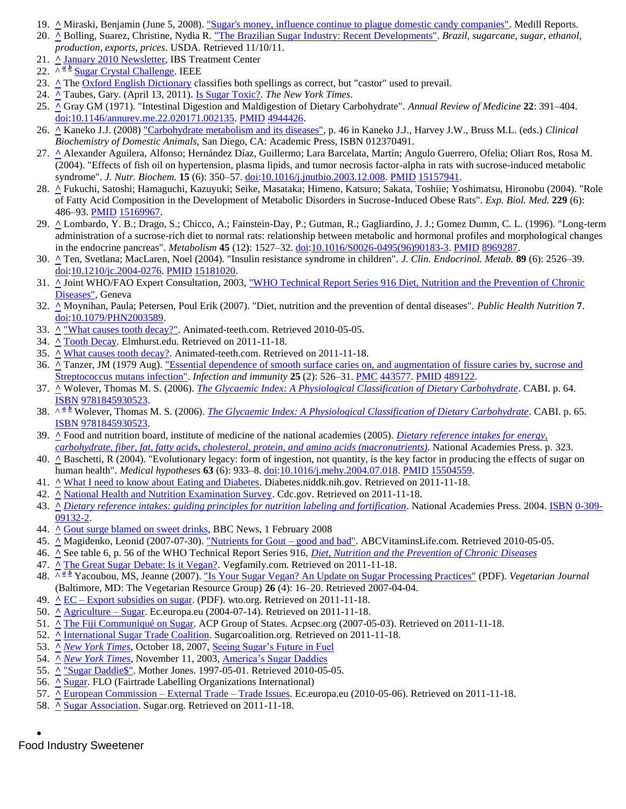- 19. **[^](http://en.wikipedia.org/wiki/Table_sugar#cite_ref-19)** Miraski, Benjamin (June 5, 2008). ["Sugar's money, influence continue to plague domestic candy companies".](http://news.medill.northwestern.edu/chicago/news.aspx?id=92869) Medill Reports.
- 20. **[^](http://en.wikipedia.org/wiki/Table_sugar#cite_ref-20)** Bolling, Suarez, Christine, Nydia R. ["The Brazilian Sugar Industry: Recent Developments".](http://www.ers.usda.gov/briefing/brazil/braziliansugar.pdf) *Brazil, sugarcane, sugar, ethanol, production, exports, prices*. USDA. Retrieved 11/10/11.
- 21. **[^](http://en.wikipedia.org/wiki/Table_sugar#cite_ref-21)** [January 2010 Newsletter,](http://ibstreatmentcenter.com/Newsletters/Jan10.pdf) IBS Treatment Center
- 22. $\sqrt{\alpha} \frac{b}{\omega}$  $\sqrt{\alpha} \frac{b}{\omega}$  $\sqrt{\alpha} \frac{b}{\omega}$  [Sugar Crystal Challenge.](http://www.tryengineering.org/lessons/sugarnano.pdf) IEEE
- 23. **[^](http://en.wikipedia.org/wiki/Table_sugar#cite_ref-23)** The [Oxford English Dictionary](http://en.wikipedia.org/wiki/Oxford_English_Dictionary) classifies both spellings as correct, but "castor" used to prevail.
- 24. **[^](http://en.wikipedia.org/wiki/Table_sugar#cite_ref-Taubes_24-0)** Taubes, Gary. (April 13, 2011). [Is Sugar Toxic?.](http://www.nytimes.com/2011/04/17/magazine/mag-17Sugar-t.html?_r=1&ref=general&src=me&pagewanted=all) *The New York Times*.
- 25. **[^](http://en.wikipedia.org/wiki/Table_sugar#cite_ref-25)** Gray GM (1971). "Intestinal Digestion and Maldigestion of Dietary Carbohydrate". *Annual Review of Medicine* **22**: 391–404. [doi](http://en.wikipedia.org/wiki/Digital_object_identifier)[:10.1146/annurev.me.22.020171.002135.](http://dx.doi.org/10.1146%2Fannurev.me.22.020171.002135) [PMID](http://en.wikipedia.org/wiki/PubMed_Identifier) [4944426.](http://www.ncbi.nlm.nih.gov/pubmed/4944426)
- 26. **[^](http://en.wikipedia.org/wiki/Table_sugar#cite_ref-26)** Kaneko J.J. (2008) ["Carbohydrate metabolism and its diseases",](http://books.google.com/books?id=spsD4WQbL0QC&pg=PA46) p. 46 in Kaneko J.J., Harvey J.W., Bruss M.L. (eds.) *Clinical Biochemistry of Domestic Animals,* San Diego, CA: Academic Press, ISBN 012370491.
- 27. **[^](http://en.wikipedia.org/wiki/Table_sugar#cite_ref-27)** Alexander Aguilera, Alfonso; Hernández Díaz, Guillermo; Lara Barcelata, Martín; Angulo Guerrero, Ofelia; Oliart Ros, Rosa M. (2004). "Effects of fish oil on hypertension, plasma lipids, and tumor necrosis factor-alpha in rats with sucrose-induced metabolic syndrome". *J. Nutr. Biochem.* **15** (6): 350–57[. doi](http://en.wikipedia.org/wiki/Digital_object_identifier)[:10.1016/j.jnutbio.2003.12.008.](http://dx.doi.org/10.1016%2Fj.jnutbio.2003.12.008) [PMID](http://en.wikipedia.org/wiki/PubMed_Identifier) [15157941.](http://www.ncbi.nlm.nih.gov/pubmed/15157941)
- 28. **[^](http://en.wikipedia.org/wiki/Table_sugar#cite_ref-28)** Fukuchi, Satoshi; Hamaguchi, Kazuyuki; Seike, Masataka; Himeno, Katsuro; Sakata, Toshiie; Yoshimatsu, Hironobu (2004). "Role of Fatty Acid Composition in the Development of Metabolic Disorders in Sucrose-Induced Obese Rats". *Exp. Biol. Med.* **229** (6): 486–93. [PMID](http://en.wikipedia.org/wiki/PubMed_Identifier) [15169967.](http://www.ncbi.nlm.nih.gov/pubmed/15169967)
- 29. **[^](http://en.wikipedia.org/wiki/Table_sugar#cite_ref-29)** Lombardo, Y. B.; Drago, S.; Chicco, A.; Fainstein-Day, P.; Gutman, R.; Gagliardino, J. J.; Gomez Dumm, C. L. (1996). "Long-term administration of a sucrose-rich diet to normal rats: relationship between metabolic and hormonal profiles and morphological changes in the endocrine pancreas". *Metabolism* **45** (12): 1527–32. [doi](http://en.wikipedia.org/wiki/Digital_object_identifier)[:10.1016/S0026-0495\(96\)90183-3.](http://dx.doi.org/10.1016%2FS0026-0495%2896%2990183-3) [PMID](http://en.wikipedia.org/wiki/PubMed_Identifier) [8969287.](http://www.ncbi.nlm.nih.gov/pubmed/8969287)
- 30. **[^](http://en.wikipedia.org/wiki/Table_sugar#cite_ref-30)** Ten, Svetlana; MacLaren, Noel (2004). "Insulin resistance syndrome in children". *J. Clin. Endocrinol. Metab.* **89** (6): 2526–39. [doi](http://en.wikipedia.org/wiki/Digital_object_identifier)[:10.1210/jc.2004-0276.](http://dx.doi.org/10.1210%2Fjc.2004-0276) [PMID](http://en.wikipedia.org/wiki/PubMed_Identifier) [15181020.](http://www.ncbi.nlm.nih.gov/pubmed/15181020)
- 31. **[^](http://en.wikipedia.org/wiki/Table_sugar#cite_ref-31)** Joint WHO/FAO Expert Consultation, 2003[, "WHO Technical Report Series 916 Diet, Nutrition and the Prevention of Chronic](http://www.who.int/dietphysicalactivity/publications/trs916/en/)  [Diseases",](http://www.who.int/dietphysicalactivity/publications/trs916/en/) Geneva
- 32. **[^](http://en.wikipedia.org/wiki/Table_sugar#cite_ref-32)** Moynihan, Paula; Petersen, Poul Erik (2007). "Diet, nutrition and the prevention of dental diseases". *Public Health Nutrition* **7**. [doi](http://en.wikipedia.org/wiki/Digital_object_identifier)[:10.1079/PHN2003589.](http://dx.doi.org/10.1079%2FPHN2003589)
- 33. **[^](http://en.wikipedia.org/wiki/Table_sugar#cite_ref-33)** ["What causes tooth decay?".](http://www.animated-teeth.com/tooth_decay/t2_tooth_decay_caries.htm) Animated-teeth.com. Retrieved 2010-05-05.
- 34. **[^](http://en.wikipedia.org/wiki/Table_sugar#cite_ref-34)** [Tooth Decay.](http://www.elmhurst.edu/~chm/vchembook/548toothdecay.html) Elmhurst.edu. Retrieved on 2011-11-18.
- 35. **[^](http://en.wikipedia.org/wiki/Table_sugar#cite_ref-35)** [What causes tooth decay?.](http://www.animated-teeth.com/tooth_decay/t2_tooth_decay_caries.htm) Animated-teeth.com. Retrieved on 2011-11-18.
- 36. **[^](http://en.wikipedia.org/wiki/Table_sugar#cite_ref-36)** Tanzer, JM (1979 Aug). ["Essential dependence of smooth surface caries on, and augmentation of fissure caries by, sucrose and](http://www.ncbi.nlm.nih.gov/pmc/articles/PMC443577)  [Streptococcus mutans infection".](http://www.ncbi.nlm.nih.gov/pmc/articles/PMC443577) *Infection and immunity* **25** (2): 526–31. [PMC](http://en.wikipedia.org/wiki/PubMed_Central) [443577.](http://www.ncbi.nlm.nih.gov/pmc/articles/PMC443577) [PMID](http://en.wikipedia.org/wiki/PubMed_Identifier) [489122.](http://www.ncbi.nlm.nih.gov/pubmed/489122)
- 37. **[^](http://en.wikipedia.org/wiki/Table_sugar#cite_ref-37)** Wolever, Thomas M. S. (2006). *[The Glycaemic Index: A Physiological Classification of Dietary Carbohydrate](http://books.google.com/books?id=_UkSoDwCN80C&pg=PA65)*. CABI. p. 64. [ISBN](http://en.wikipedia.org/wiki/International_Standard_Book_Number) [9781845930523.](http://en.wikipedia.org/wiki/Special:BookSources/9781845930523)
- 38. ^*<sup>a</sup> [b](http://en.wikipedia.org/wiki/Table_sugar#cite_ref-wolever_38-1)* Wolever, Thomas M. S. (2006). *[The Glycaemic Index: A Physiological Classification of Dietary Carbohydrate](http://books.google.com/books?id=_UkSoDwCN80C&pg=PA65)*. CABI. p. 65. [ISBN](http://en.wikipedia.org/wiki/International_Standard_Book_Number) [9781845930523.](http://en.wikipedia.org/wiki/Special:BookSources/9781845930523)
- 39. **[^](http://en.wikipedia.org/wiki/Table_sugar#cite_ref-39)** Food and nutrition board, institute of medicine of the national academies (2005). *[Dietary reference intakes for energy,](http://www.nap.edu/openbook.php?record_id=10490&page=323)  [carbohydrate, fiber, fat, fatty acids, cholesterol, protein, and amino acids \(macronutrients\)](http://www.nap.edu/openbook.php?record_id=10490&page=323)*. National Academies Press. p. 323.
- 40. **[^](http://en.wikipedia.org/wiki/Table_sugar#cite_ref-40)** Baschetti, R (2004). "Evolutionary legacy: form of ingestion, not quantity, is the key factor in producing the effects of sugar on human health". *Medical hypotheses* **63** (6): 933–8. [doi](http://en.wikipedia.org/wiki/Digital_object_identifier)[:10.1016/j.mehy.2004.07.018.](http://dx.doi.org/10.1016%2Fj.mehy.2004.07.018) [PMID](http://en.wikipedia.org/wiki/PubMed_Identifier) [15504559.](http://www.ncbi.nlm.nih.gov/pubmed/15504559)
- 41. **[^](http://en.wikipedia.org/wiki/Table_sugar#cite_ref-41)** [What I need to know about Eating and Diabetes.](http://diabetes.niddk.nih.gov/dm/pubs/eating_ez/) Diabetes.niddk.nih.gov. Retrieved on 2011-11-18.
- 42. **[^](http://en.wikipedia.org/wiki/Table_sugar#cite_ref-42)** [National Health and Nutrition Examination Survey.](http://www.cdc.gov/nchs/nhanes.htm) Cdc.gov. Retrieved on 2011-11-18.
- 43. *<u>[^](http://en.wikipedia.org/wiki/Table_sugar#cite_ref-43) [Dietary reference intakes: guiding principles for nutrition labeling and fortification](http://books.google.com/?id=XzjYhuCGrL0C&printsec=frontcover)</u>. National Academies Press. 2004. ISBN [0-309-](http://en.wikipedia.org/wiki/Special:BookSources/0-309-09132-2)* [09132-2.](http://en.wikipedia.org/wiki/Special:BookSources/0-309-09132-2)
- 44. **[^](http://en.wikipedia.org/wiki/Table_sugar#cite_ref-44)** [Gout surge blamed on sweet drinks,](http://news.bbc.co.uk/2/hi/health/7219473.stm) BBC News, 1 February 2008
- 45. **[^](http://en.wikipedia.org/wiki/Table_sugar#cite_ref-45)** Magidenko, Leonid (2007-07-30). ["Nutrients for Gout –](http://web.archive.org/web/20090223191342/http:/www.abcvitaminslife.com/HealthFacts/Article429.aspx) good and bad". ABCVitaminsLife.com. Retrieved 2010-05-05.
- 46. **[^](http://en.wikipedia.org/wiki/Table_sugar#cite_ref-46)** See table 6, p. 56 of the WHO Technical Report Series 916, *[Diet, Nutrition and the Prevention of Chronic Diseases](http://www.fao.org/docrep/005/AC911E/ac911e07.htm#bm07.1.3)*
- 47. **[^](http://en.wikipedia.org/wiki/Table_sugar#cite_ref-47)** [The Great Sugar Debate: Is it Vegan?.](http://www.vegfamily.com/articles/sugar.htm) Vegfamily.com. Retrieved on 2011-11-18.
- 48. ^*<sup>a</sup> [b](http://en.wikipedia.org/wiki/Table_sugar#cite_ref-VegetarianJournal_48-1)* Yacoubou, MS, Jeanne (2007)[. "Is Your Sugar Vegan? An Update on Sugar Processing Practices"](https://www.vrg.org/journal/vj2007issue4/vj2007issue4.pdf) (PDF). *Vegetarian Journal* (Baltimore, MD: The Vegetarian Resource Group) **26** (4): 16–20. Retrieved 2007-04-04.
- 49. **[^](http://en.wikipedia.org/wiki/Table_sugar#cite_ref-49)** EC [Export subsidies on sugar.](http://www.wto.org/english/tratop_e/dispu_e/cases_e/1pagesum_e/ds266sum_e.pdf) (PDF). wto.org. Retrieved on 2011-11-18.
- 50. **[^](http://en.wikipedia.org/wiki/Table_sugar#cite_ref-50)** [Agriculture –](http://ec.europa.eu/agriculture/markets/sugar/index_en.htm) Sugar. Ec.europa.eu (2004-07-14). Retrieved on 2011-11-18.
- 51. **[^](http://en.wikipedia.org/wiki/Table_sugar#cite_ref-51)** [The Fiji Communiqué on Sugar.](http://web.archive.org/web/20110724224300/http:/www.acpsec.org/en/trade/sugar/fiji_sugar_communique_e.htm) ACP Group of States. Acpsec.org (2007-05-03). Retrieved on 2011-11-18.
- 52. **[^](http://en.wikipedia.org/wiki/Table_sugar#cite_ref-52)** [International Sugar Trade Coalition.](http://www.sugarcoalition.org/) Sugarcoalition.org. Retrieved on 2011-11-18.
- 53. **[^](http://en.wikipedia.org/wiki/Table_sugar#cite_ref-53)** *[New York Times](http://en.wikipedia.org/wiki/New_York_Times)*, October 18, 2007[, Seeing Sugar's Future in Fuel](http://www.nytimes.com/2007/10/18/business/18sugar.html)
- 54. **[^](http://en.wikipedia.org/wiki/Table_sugar#cite_ref-54)** *[New York Times](http://en.wikipedia.org/wiki/New_York_Times)*, November 11, 2003[, America's Sugar Daddies](http://www.nytimes.com/2003/11/29/opinion/29SAT1.html)
- 55. **[^](http://en.wikipedia.org/wiki/Table_sugar#cite_ref-55)** ["Sugar Daddie\\$".](http://www.motherjones.com/news/special_reports/coinop_congress/97mojo_400/boller.html) Mother Jones. 1997-05-01. Retrieved 2010-05-05.
- 56. **[^](http://en.wikipedia.org/wiki/Table_sugar#cite_ref-56)** [Sugar.](http://www.fairtrade.net/sugar.html) FLO (Fairtrade Labelling Organizations International)
- 57. **[^](http://en.wikipedia.org/wiki/Table_sugar#cite_ref-57)** [European Commission –](http://ec.europa.eu/trade/issues/bilateral/regions/acp/pr140907_en.htm) External Trade Trade Issues. Ec.europa.eu (2010-05-06). Retrieved on 2011-11-18.
- 58. **[^](http://en.wikipedia.org/wiki/Table_sugar#cite_ref-58)** [Sugar Association.](http://www.sugar.org/) Sugar.org. Retrieved on 2011-11-18.

 $\bullet$ Food Industry Sweetener